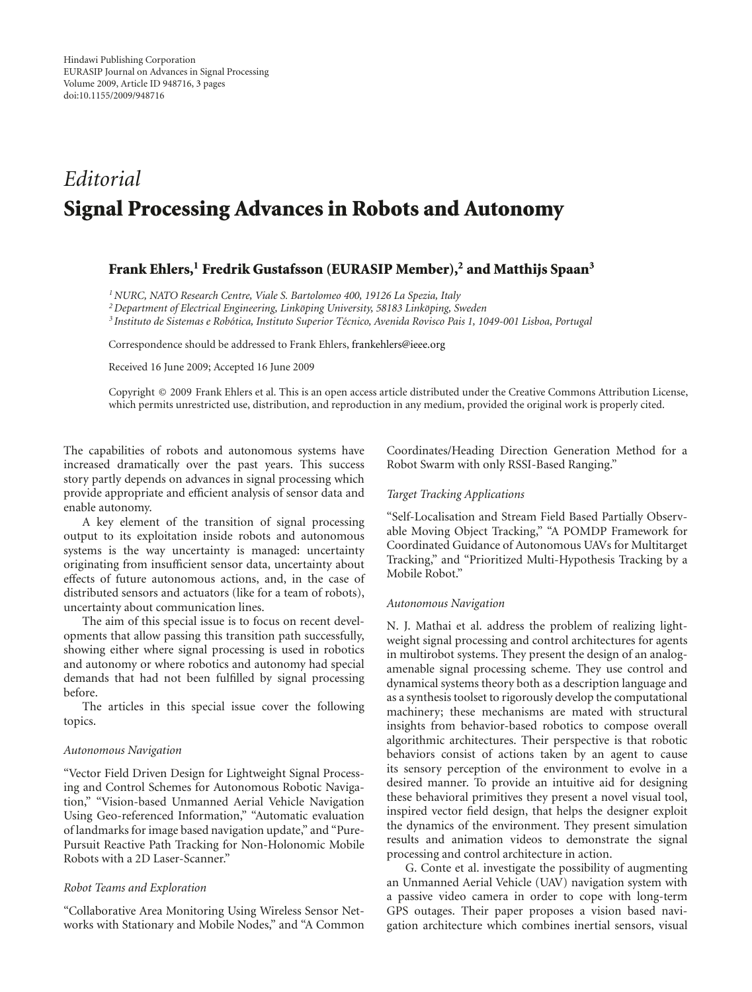# *Editorial* **Signal Processing Advances in Robots and Autonomy**

## **Frank Ehlers,1 Fredrik Gustafsson (EURASIP Member),2 and Matthijs Spaan3**

*1NURC, NATO Research Centre, Viale S. Bartolomeo 400, 19126 La Spezia, Italy*

<sup>2</sup> Department of Electrical Engineering, Linköping University, 58183 Linköping, Sweden

*<sup>3</sup> Instituto de Sistemas e Robotica, Instituto Superior T ´ ´ecnico, Avenida Rovisco Pais 1, 1049-001 Lisboa, Portugal*

Correspondence should be addressed to Frank Ehlers, frankehlers@ieee.org

Received 16 June 2009; Accepted 16 June 2009

Copyright © 2009 Frank Ehlers et al. This is an open access article distributed under the Creative Commons Attribution License, which permits unrestricted use, distribution, and reproduction in any medium, provided the original work is properly cited.

The capabilities of robots and autonomous systems have increased dramatically over the past years. This success story partly depends on advances in signal processing which provide appropriate and efficient analysis of sensor data and enable autonomy.

A key element of the transition of signal processing output to its exploitation inside robots and autonomous systems is the way uncertainty is managed: uncertainty originating from insufficient sensor data, uncertainty about effects of future autonomous actions, and, in the case of distributed sensors and actuators (like for a team of robots), uncertainty about communication lines.

The aim of this special issue is to focus on recent developments that allow passing this transition path successfully, showing either where signal processing is used in robotics and autonomy or where robotics and autonomy had special demands that had not been fulfilled by signal processing before.

The articles in this special issue cover the following topics.

#### *Autonomous Navigation*

"Vector Field Driven Design for Lightweight Signal Processing and Control Schemes for Autonomous Robotic Navigation," "Vision-based Unmanned Aerial Vehicle Navigation Using Geo-referenced Information," "Automatic evaluation of landmarks for image based navigation update," and "Pure-Pursuit Reactive Path Tracking for Non-Holonomic Mobile Robots with a 2D Laser-Scanner."

#### *Robot Teams and Exploration*

"Collaborative Area Monitoring Using Wireless Sensor Networks with Stationary and Mobile Nodes," and "A Common Coordinates/Heading Direction Generation Method for a Robot Swarm with only RSSI-Based Ranging."

#### *Target Tracking Applications*

"Self-Localisation and Stream Field Based Partially Observable Moving Object Tracking," "A POMDP Framework for Coordinated Guidance of Autonomous UAVs for Multitarget Tracking," and "Prioritized Multi-Hypothesis Tracking by a Mobile Robot."

#### *Autonomous Navigation*

N. J. Mathai et al. address the problem of realizing lightweight signal processing and control architectures for agents in multirobot systems. They present the design of an analogamenable signal processing scheme. They use control and dynamical systems theory both as a description language and as a synthesis toolset to rigorously develop the computational machinery; these mechanisms are mated with structural insights from behavior-based robotics to compose overall algorithmic architectures. Their perspective is that robotic behaviors consist of actions taken by an agent to cause its sensory perception of the environment to evolve in a desired manner. To provide an intuitive aid for designing these behavioral primitives they present a novel visual tool, inspired vector field design, that helps the designer exploit the dynamics of the environment. They present simulation results and animation videos to demonstrate the signal processing and control architecture in action.

G. Conte et al. investigate the possibility of augmenting an Unmanned Aerial Vehicle (UAV) navigation system with a passive video camera in order to cope with long-term GPS outages. Their paper proposes a vision based navigation architecture which combines inertial sensors, visual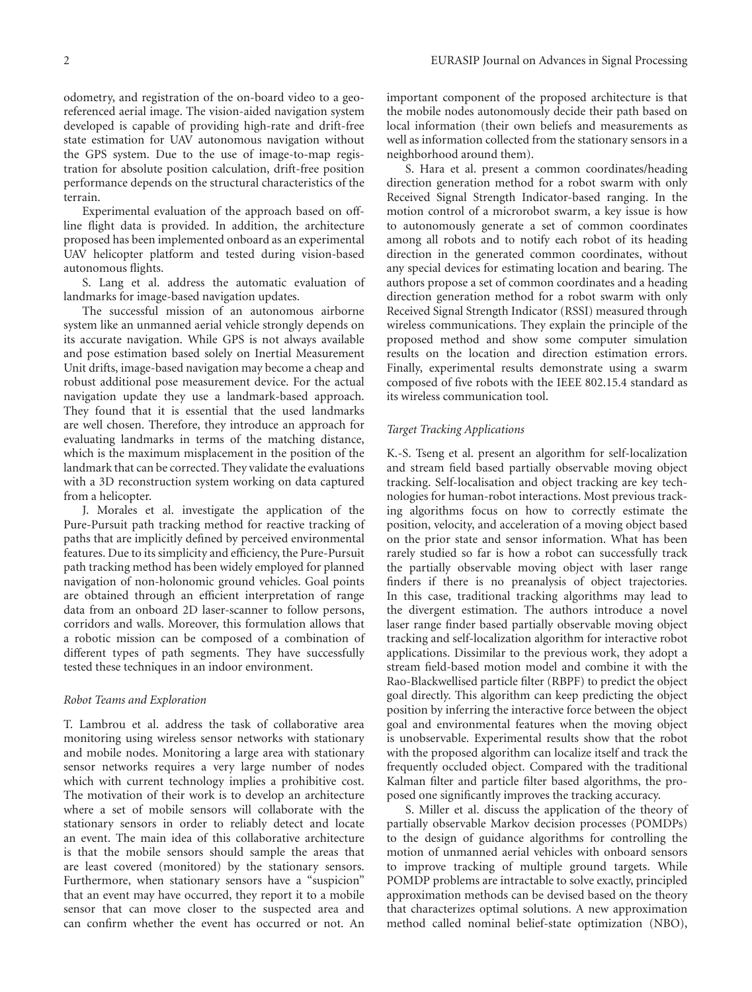odometry, and registration of the on-board video to a georeferenced aerial image. The vision-aided navigation system developed is capable of providing high-rate and drift-free state estimation for UAV autonomous navigation without the GPS system. Due to the use of image-to-map registration for absolute position calculation, drift-free position performance depends on the structural characteristics of the terrain.

Experimental evaluation of the approach based on offline flight data is provided. In addition, the architecture proposed has been implemented onboard as an experimental UAV helicopter platform and tested during vision-based autonomous flights.

S. Lang et al. address the automatic evaluation of landmarks for image-based navigation updates.

The successful mission of an autonomous airborne system like an unmanned aerial vehicle strongly depends on its accurate navigation. While GPS is not always available and pose estimation based solely on Inertial Measurement Unit drifts, image-based navigation may become a cheap and robust additional pose measurement device. For the actual navigation update they use a landmark-based approach. They found that it is essential that the used landmarks are well chosen. Therefore, they introduce an approach for evaluating landmarks in terms of the matching distance, which is the maximum misplacement in the position of the landmark that can be corrected. They validate the evaluations with a 3D reconstruction system working on data captured from a helicopter.

J. Morales et al. investigate the application of the Pure-Pursuit path tracking method for reactive tracking of paths that are implicitly defined by perceived environmental features. Due to its simplicity and efficiency, the Pure-Pursuit path tracking method has been widely employed for planned navigation of non-holonomic ground vehicles. Goal points are obtained through an efficient interpretation of range data from an onboard 2D laser-scanner to follow persons, corridors and walls. Moreover, this formulation allows that a robotic mission can be composed of a combination of different types of path segments. They have successfully tested these techniques in an indoor environment.

#### *Robot Teams and Exploration*

T. Lambrou et al. address the task of collaborative area monitoring using wireless sensor networks with stationary and mobile nodes. Monitoring a large area with stationary sensor networks requires a very large number of nodes which with current technology implies a prohibitive cost. The motivation of their work is to develop an architecture where a set of mobile sensors will collaborate with the stationary sensors in order to reliably detect and locate an event. The main idea of this collaborative architecture is that the mobile sensors should sample the areas that are least covered (monitored) by the stationary sensors. Furthermore, when stationary sensors have a "suspicion" that an event may have occurred, they report it to a mobile sensor that can move closer to the suspected area and can confirm whether the event has occurred or not. An

important component of the proposed architecture is that the mobile nodes autonomously decide their path based on local information (their own beliefs and measurements as well as information collected from the stationary sensors in a neighborhood around them).

S. Hara et al. present a common coordinates/heading direction generation method for a robot swarm with only Received Signal Strength Indicator-based ranging. In the motion control of a microrobot swarm, a key issue is how to autonomously generate a set of common coordinates among all robots and to notify each robot of its heading direction in the generated common coordinates, without any special devices for estimating location and bearing. The authors propose a set of common coordinates and a heading direction generation method for a robot swarm with only Received Signal Strength Indicator (RSSI) measured through wireless communications. They explain the principle of the proposed method and show some computer simulation results on the location and direction estimation errors. Finally, experimental results demonstrate using a swarm composed of five robots with the IEEE 802.15.4 standard as its wireless communication tool.

#### *Target Tracking Applications*

K.-S. Tseng et al. present an algorithm for self-localization and stream field based partially observable moving object tracking. Self-localisation and object tracking are key technologies for human-robot interactions. Most previous tracking algorithms focus on how to correctly estimate the position, velocity, and acceleration of a moving object based on the prior state and sensor information. What has been rarely studied so far is how a robot can successfully track the partially observable moving object with laser range finders if there is no preanalysis of object trajectories. In this case, traditional tracking algorithms may lead to the divergent estimation. The authors introduce a novel laser range finder based partially observable moving object tracking and self-localization algorithm for interactive robot applications. Dissimilar to the previous work, they adopt a stream field-based motion model and combine it with the Rao-Blackwellised particle filter (RBPF) to predict the object goal directly. This algorithm can keep predicting the object position by inferring the interactive force between the object goal and environmental features when the moving object is unobservable. Experimental results show that the robot with the proposed algorithm can localize itself and track the frequently occluded object. Compared with the traditional Kalman filter and particle filter based algorithms, the proposed one significantly improves the tracking accuracy.

S. Miller et al. discuss the application of the theory of partially observable Markov decision processes (POMDPs) to the design of guidance algorithms for controlling the motion of unmanned aerial vehicles with onboard sensors to improve tracking of multiple ground targets. While POMDP problems are intractable to solve exactly, principled approximation methods can be devised based on the theory that characterizes optimal solutions. A new approximation method called nominal belief-state optimization (NBO),